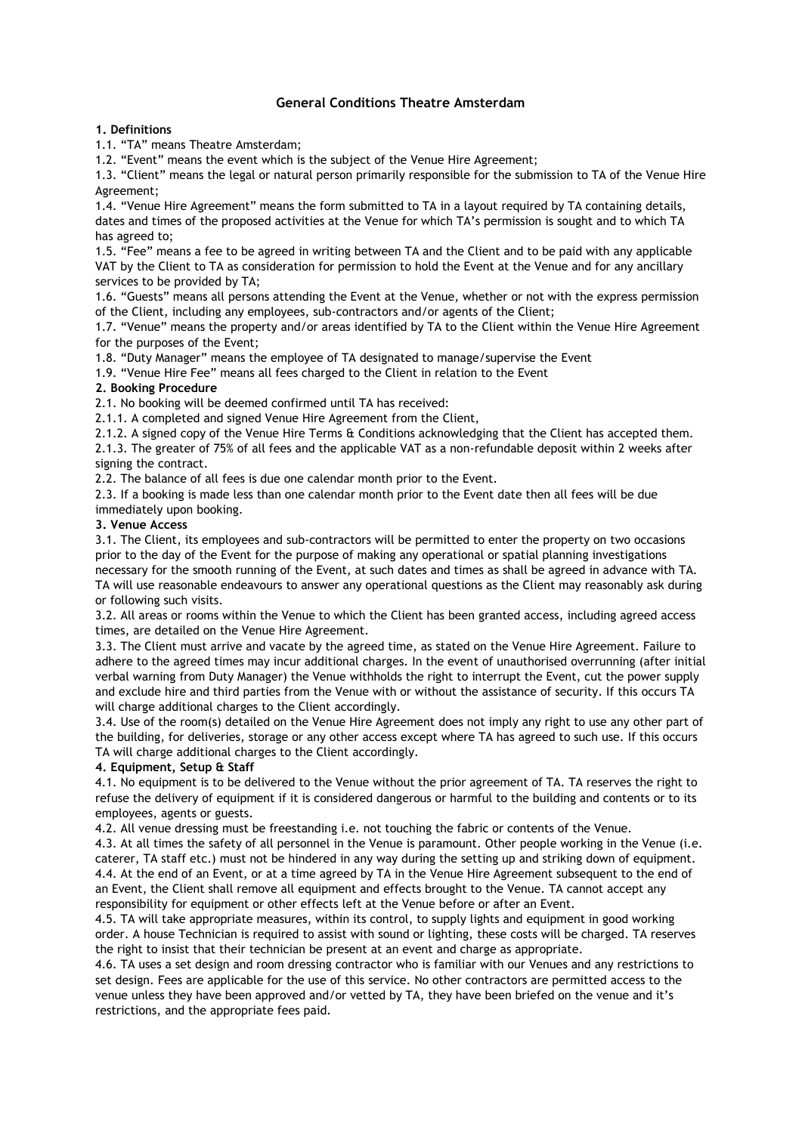# **General Conditions Theatre Amsterdam**

### **1. Definitions**

1.1. "TA" means Theatre Amsterdam;

1.2. "Event" means the event which is the subject of the Venue Hire Agreement;

1.3. "Client" means the legal or natural person primarily responsible for the submission to TA of the Venue Hire Agreement;

1.4. "Venue Hire Agreement" means the form submitted to TA in a layout required by TA containing details, dates and times of the proposed activities at the Venue for which TA's permission is sought and to which TA has agreed to;

1.5. "Fee" means a fee to be agreed in writing between TA and the Client and to be paid with any applicable VAT by the Client to TA as consideration for permission to hold the Event at the Venue and for any ancillary services to be provided by TA;

1.6. "Guests" means all persons attending the Event at the Venue, whether or not with the express permission of the Client, including any employees, sub-contractors and/or agents of the Client;

1.7. "Venue" means the property and/or areas identified by TA to the Client within the Venue Hire Agreement for the purposes of the Event;

1.8. "Duty Manager" means the employee of TA designated to manage/supervise the Event

1.9. "Venue Hire Fee" means all fees charged to the Client in relation to the Event

#### **2. Booking Procedure**

2.1. No booking will be deemed confirmed until TA has received:

2.1.1. A completed and signed Venue Hire Agreement from the Client,

2.1.2. A signed copy of the Venue Hire Terms & Conditions acknowledging that the Client has accepted them.

2.1.3. The greater of 75% of all fees and the applicable VAT as a non-refundable deposit within 2 weeks after signing the contract.

2.2. The balance of all fees is due one calendar month prior to the Event.

2.3. If a booking is made less than one calendar month prior to the Event date then all fees will be due immediately upon booking.

#### **3. Venue Access**

3.1. The Client, its employees and sub-contractors will be permitted to enter the property on two occasions prior to the day of the Event for the purpose of making any operational or spatial planning investigations necessary for the smooth running of the Event, at such dates and times as shall be agreed in advance with TA. TA will use reasonable endeavours to answer any operational questions as the Client may reasonably ask during or following such visits.

3.2. All areas or rooms within the Venue to which the Client has been granted access, including agreed access times, are detailed on the Venue Hire Agreement.

3.3. The Client must arrive and vacate by the agreed time, as stated on the Venue Hire Agreement. Failure to adhere to the agreed times may incur additional charges. In the event of unauthorised overrunning (after initial verbal warning from Duty Manager) the Venue withholds the right to interrupt the Event, cut the power supply and exclude hire and third parties from the Venue with or without the assistance of security. If this occurs TA will charge additional charges to the Client accordingly.

3.4. Use of the room(s) detailed on the Venue Hire Agreement does not imply any right to use any other part of the building, for deliveries, storage or any other access except where TA has agreed to such use. If this occurs TA will charge additional charges to the Client accordingly.

#### **4. Equipment, Setup & Staff**

4.1. No equipment is to be delivered to the Venue without the prior agreement of TA. TA reserves the right to refuse the delivery of equipment if it is considered dangerous or harmful to the building and contents or to its employees, agents or guests.

4.2. All venue dressing must be freestanding i.e. not touching the fabric or contents of the Venue.

4.3. At all times the safety of all personnel in the Venue is paramount. Other people working in the Venue (i.e. caterer, TA staff etc.) must not be hindered in any way during the setting up and striking down of equipment. 4.4. At the end of an Event, or at a time agreed by TA in the Venue Hire Agreement subsequent to the end of an Event, the Client shall remove all equipment and effects brought to the Venue. TA cannot accept any responsibility for equipment or other effects left at the Venue before or after an Event.

4.5. TA will take appropriate measures, within its control, to supply lights and equipment in good working order. A house Technician is required to assist with sound or lighting, these costs will be charged. TA reserves the right to insist that their technician be present at an event and charge as appropriate.

4.6. TA uses a set design and room dressing contractor who is familiar with our Venues and any restrictions to set design. Fees are applicable for the use of this service. No other contractors are permitted access to the venue unless they have been approved and/or vetted by TA, they have been briefed on the venue and it's restrictions, and the appropriate fees paid.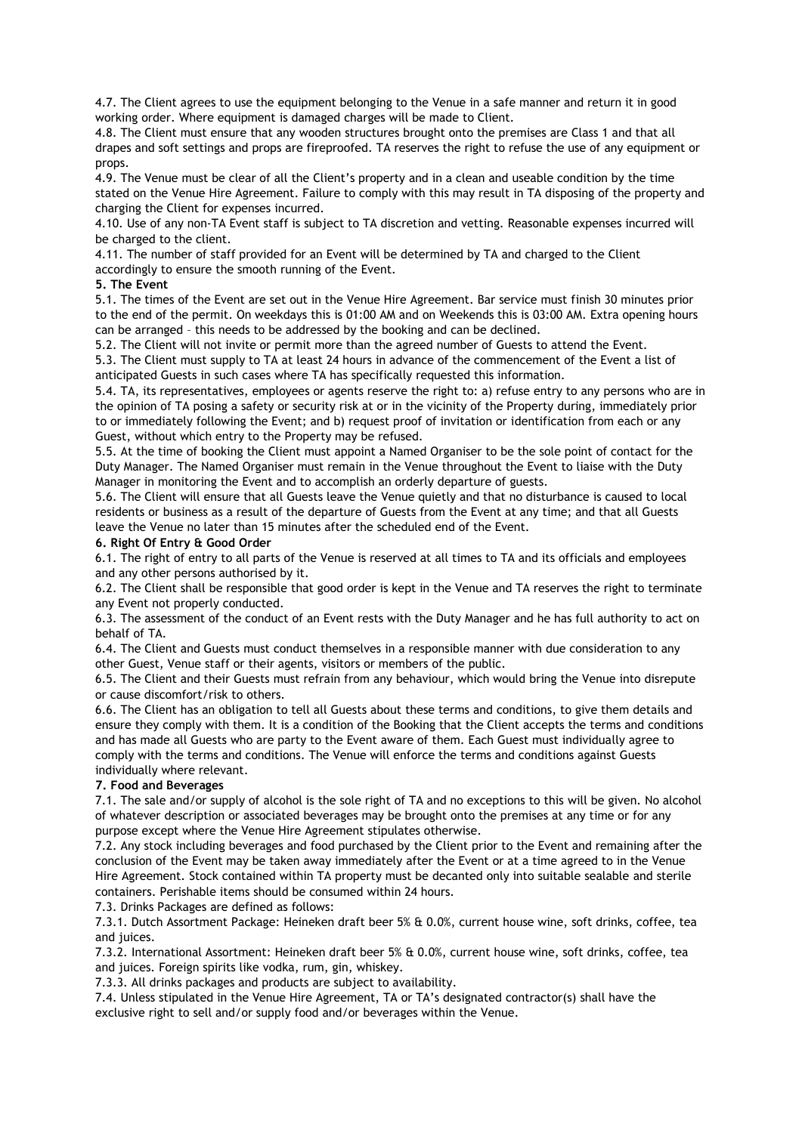4.7. The Client agrees to use the equipment belonging to the Venue in a safe manner and return it in good working order. Where equipment is damaged charges will be made to Client.

4.8. The Client must ensure that any wooden structures brought onto the premises are Class 1 and that all drapes and soft settings and props are fireproofed. TA reserves the right to refuse the use of any equipment or props.

4.9. The Venue must be clear of all the Client's property and in a clean and useable condition by the time stated on the Venue Hire Agreement. Failure to comply with this may result in TA disposing of the property and charging the Client for expenses incurred.

4.10. Use of any non-TA Event staff is subject to TA discretion and vetting. Reasonable expenses incurred will be charged to the client.

4.11. The number of staff provided for an Event will be determined by TA and charged to the Client accordingly to ensure the smooth running of the Event.

#### **5. The Event**

5.1. The times of the Event are set out in the Venue Hire Agreement. Bar service must finish 30 minutes prior to the end of the permit. On weekdays this is 01:00 AM and on Weekends this is 03:00 AM. Extra opening hours can be arranged – this needs to be addressed by the booking and can be declined.

5.2. The Client will not invite or permit more than the agreed number of Guests to attend the Event. 5.3. The Client must supply to TA at least 24 hours in advance of the commencement of the Event a list of anticipated Guests in such cases where TA has specifically requested this information.

5.4. TA, its representatives, employees or agents reserve the right to: a) refuse entry to any persons who are in the opinion of TA posing a safety or security risk at or in the vicinity of the Property during, immediately prior to or immediately following the Event; and b) request proof of invitation or identification from each or any Guest, without which entry to the Property may be refused.

5.5. At the time of booking the Client must appoint a Named Organiser to be the sole point of contact for the Duty Manager. The Named Organiser must remain in the Venue throughout the Event to liaise with the Duty Manager in monitoring the Event and to accomplish an orderly departure of guests.

5.6. The Client will ensure that all Guests leave the Venue quietly and that no disturbance is caused to local residents or business as a result of the departure of Guests from the Event at any time; and that all Guests leave the Venue no later than 15 minutes after the scheduled end of the Event.

#### **6. Right Of Entry & Good Order**

6.1. The right of entry to all parts of the Venue is reserved at all times to TA and its officials and employees and any other persons authorised by it.

6.2. The Client shall be responsible that good order is kept in the Venue and TA reserves the right to terminate any Event not properly conducted.

6.3. The assessment of the conduct of an Event rests with the Duty Manager and he has full authority to act on behalf of TA.

6.4. The Client and Guests must conduct themselves in a responsible manner with due consideration to any other Guest, Venue staff or their agents, visitors or members of the public.

6.5. The Client and their Guests must refrain from any behaviour, which would bring the Venue into disrepute or cause discomfort/risk to others.

6.6. The Client has an obligation to tell all Guests about these terms and conditions, to give them details and ensure they comply with them. It is a condition of the Booking that the Client accepts the terms and conditions and has made all Guests who are party to the Event aware of them. Each Guest must individually agree to comply with the terms and conditions. The Venue will enforce the terms and conditions against Guests individually where relevant.

## **7. Food and Beverages**

7.1. The sale and/or supply of alcohol is the sole right of TA and no exceptions to this will be given. No alcohol of whatever description or associated beverages may be brought onto the premises at any time or for any purpose except where the Venue Hire Agreement stipulates otherwise.

7.2. Any stock including beverages and food purchased by the Client prior to the Event and remaining after the conclusion of the Event may be taken away immediately after the Event or at a time agreed to in the Venue Hire Agreement. Stock contained within TA property must be decanted only into suitable sealable and sterile containers. Perishable items should be consumed within 24 hours.

7.3. Drinks Packages are defined as follows:

7.3.1. Dutch Assortment Package: Heineken draft beer 5% & 0.0%, current house wine, soft drinks, coffee, tea and juices.

7.3.2. International Assortment: Heineken draft beer 5% & 0.0%, current house wine, soft drinks, coffee, tea and juices. Foreign spirits like vodka, rum, gin, whiskey.

7.3.3. All drinks packages and products are subject to availability.

7.4. Unless stipulated in the Venue Hire Agreement, TA or TA's designated contractor(s) shall have the exclusive right to sell and/or supply food and/or beverages within the Venue.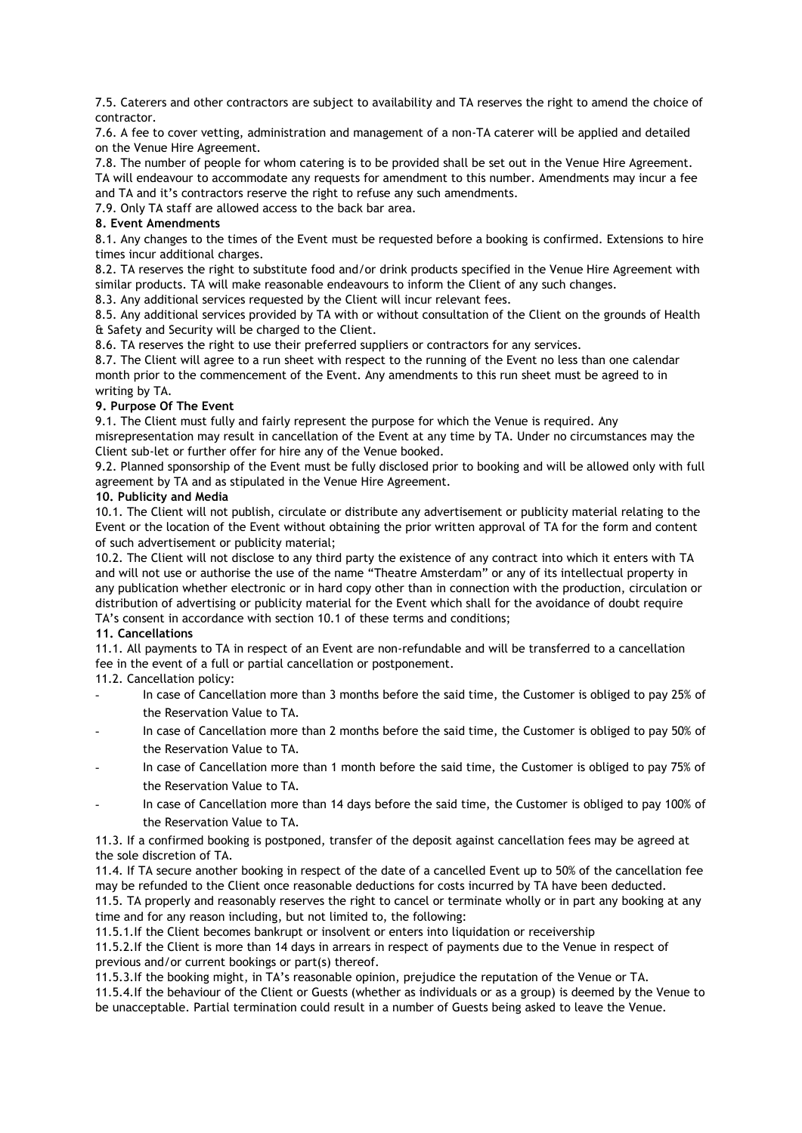7.5. Caterers and other contractors are subject to availability and TA reserves the right to amend the choice of contractor.

7.6. A fee to cover vetting, administration and management of a non-TA caterer will be applied and detailed on the Venue Hire Agreement.

7.8. The number of people for whom catering is to be provided shall be set out in the Venue Hire Agreement. TA will endeavour to accommodate any requests for amendment to this number. Amendments may incur a fee and TA and it's contractors reserve the right to refuse any such amendments.

7.9. Only TA staff are allowed access to the back bar area.

## **8. Event Amendments**

8.1. Any changes to the times of the Event must be requested before a booking is confirmed. Extensions to hire times incur additional charges.

8.2. TA reserves the right to substitute food and/or drink products specified in the Venue Hire Agreement with similar products. TA will make reasonable endeavours to inform the Client of any such changes.

8.3. Any additional services requested by the Client will incur relevant fees.

8.5. Any additional services provided by TA with or without consultation of the Client on the grounds of Health & Safety and Security will be charged to the Client.

8.6. TA reserves the right to use their preferred suppliers or contractors for any services.

8.7. The Client will agree to a run sheet with respect to the running of the Event no less than one calendar month prior to the commencement of the Event. Any amendments to this run sheet must be agreed to in writing by TA.

# **9. Purpose Of The Event**

9.1. The Client must fully and fairly represent the purpose for which the Venue is required. Any misrepresentation may result in cancellation of the Event at any time by TA. Under no circumstances may the Client sub-let or further offer for hire any of the Venue booked.

9.2. Planned sponsorship of the Event must be fully disclosed prior to booking and will be allowed only with full agreement by TA and as stipulated in the Venue Hire Agreement.

## **10. Publicity and Media**

10.1. The Client will not publish, circulate or distribute any advertisement or publicity material relating to the Event or the location of the Event without obtaining the prior written approval of TA for the form and content of such advertisement or publicity material;

10.2. The Client will not disclose to any third party the existence of any contract into which it enters with TA and will not use or authorise the use of the name "Theatre Amsterdam" or any of its intellectual property in any publication whether electronic or in hard copy other than in connection with the production, circulation or distribution of advertising or publicity material for the Event which shall for the avoidance of doubt require TA's consent in accordance with section 10.1 of these terms and conditions;

## **11. Cancellations**

11.1. All payments to TA in respect of an Event are non-refundable and will be transferred to a cancellation fee in the event of a full or partial cancellation or postponement.

11.2. Cancellation policy:

- In case of Cancellation more than 3 months before the said time, the Customer is obliged to pay 25% of the Reservation Value to TA.
- In case of Cancellation more than 2 months before the said time, the Customer is obliged to pay 50% of the Reservation Value to TA.
- In case of Cancellation more than 1 month before the said time, the Customer is obliged to pay 75% of the Reservation Value to TA.
- In case of Cancellation more than 14 days before the said time, the Customer is obliged to pay 100% of the Reservation Value to TA.

11.3. If a confirmed booking is postponed, transfer of the deposit against cancellation fees may be agreed at the sole discretion of TA.

11.4. If TA secure another booking in respect of the date of a cancelled Event up to 50% of the cancellation fee may be refunded to the Client once reasonable deductions for costs incurred by TA have been deducted.

11.5. TA properly and reasonably reserves the right to cancel or terminate wholly or in part any booking at any time and for any reason including, but not limited to, the following:

11.5.1.If the Client becomes bankrupt or insolvent or enters into liquidation or receivership

11.5.2.If the Client is more than 14 days in arrears in respect of payments due to the Venue in respect of previous and/or current bookings or part(s) thereof.

11.5.3.If the booking might, in TA's reasonable opinion, prejudice the reputation of the Venue or TA.

11.5.4.If the behaviour of the Client or Guests (whether as individuals or as a group) is deemed by the Venue to be unacceptable. Partial termination could result in a number of Guests being asked to leave the Venue.